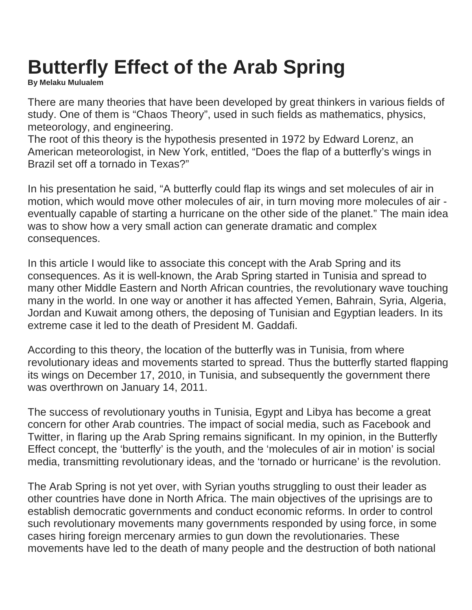## **Butterfly Effect of the Arab Spring**

**By Melaku Mulualem**

There are many theories that have been developed by great thinkers in various fields of study. One of them is "Chaos Theory", used in such fields as mathematics, physics, meteorology, and engineering.

The root of this theory is the hypothesis presented in 1972 by Edward Lorenz, an American meteorologist, in New York, entitled, "Does the flap of a butterfly's wings in Brazil set off a tornado in Texas?"

In his presentation he said, "A butterfly could flap its wings and set molecules of air in motion, which would move other molecules of air, in turn moving more molecules of air eventually capable of starting a hurricane on the other side of the planet." The main idea was to show how a very small action can generate dramatic and complex consequences.

In this article I would like to associate this concept with the Arab Spring and its consequences. As it is well-known, the Arab Spring started in Tunisia and spread to many other Middle Eastern and North African countries, the revolutionary wave touching many in the world. In one way or another it has affected Yemen, Bahrain, Syria, Algeria, Jordan and Kuwait among others, the deposing of Tunisian and Egyptian leaders. In its extreme case it led to the death of President M. Gaddafi.

According to this theory, the location of the butterfly was in Tunisia, from where revolutionary ideas and movements started to spread. Thus the butterfly started flapping its wings on December 17, 2010, in Tunisia, and subsequently the government there was overthrown on January 14, 2011.

The success of revolutionary youths in Tunisia, Egypt and Libya has become a great concern for other Arab countries. The impact of social media, such as Facebook and Twitter, in flaring up the Arab Spring remains significant. In my opinion, in the Butterfly Effect concept, the 'butterfly' is the youth, and the 'molecules of air in motion' is social media, transmitting revolutionary ideas, and the 'tornado or hurricane' is the revolution.

The Arab Spring is not yet over, with Syrian youths struggling to oust their leader as other countries have done in North Africa. The main objectives of the uprisings are to establish democratic governments and conduct economic reforms. In order to control such revolutionary movements many governments responded by using force, in some cases hiring foreign mercenary armies to gun down the revolutionaries. These movements have led to the death of many people and the destruction of both national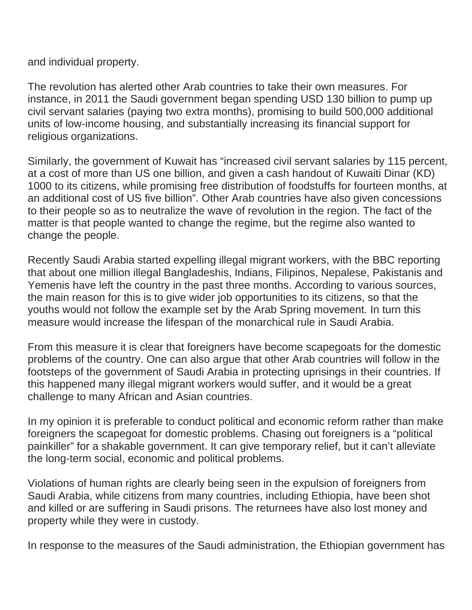and individual property.

The revolution has alerted other Arab countries to take their own measures. For instance, in 2011 the Saudi government began spending USD 130 billion to pump up civil servant salaries (paying two extra months), promising to build 500,000 additional units of low-income housing, and substantially increasing its financial support for religious organizations.

Similarly, the government of Kuwait has "increased civil servant salaries by 115 percent, at a cost of more than US one billion, and given a cash handout of Kuwaiti Dinar (KD) 1000 to its citizens, while promising free distribution of foodstuffs for fourteen months, at an additional cost of US five billion". Other Arab countries have also given concessions to their people so as to neutralize the wave of revolution in the region. The fact of the matter is that people wanted to change the regime, but the regime also wanted to change the people.

Recently Saudi Arabia started expelling illegal migrant workers, with the BBC reporting that about one million illegal Bangladeshis, Indians, Filipinos, Nepalese, Pakistanis and Yemenis have left the country in the past three months. According to various sources, the main reason for this is to give wider job opportunities to its citizens, so that the youths would not follow the example set by the Arab Spring movement. In turn this measure would increase the lifespan of the monarchical rule in Saudi Arabia.

From this measure it is clear that foreigners have become scapegoats for the domestic problems of the country. One can also argue that other Arab countries will follow in the footsteps of the government of Saudi Arabia in protecting uprisings in their countries. If this happened many illegal migrant workers would suffer, and it would be a great challenge to many African and Asian countries.

In my opinion it is preferable to conduct political and economic reform rather than make foreigners the scapegoat for domestic problems. Chasing out foreigners is a "political painkiller" for a shakable government. It can give temporary relief, but it can't alleviate the long-term social, economic and political problems.

Violations of human rights are clearly being seen in the expulsion of foreigners from Saudi Arabia, while citizens from many countries, including Ethiopia, have been shot and killed or are suffering in Saudi prisons. The returnees have also lost money and property while they were in custody.

In response to the measures of the Saudi administration, the Ethiopian government has